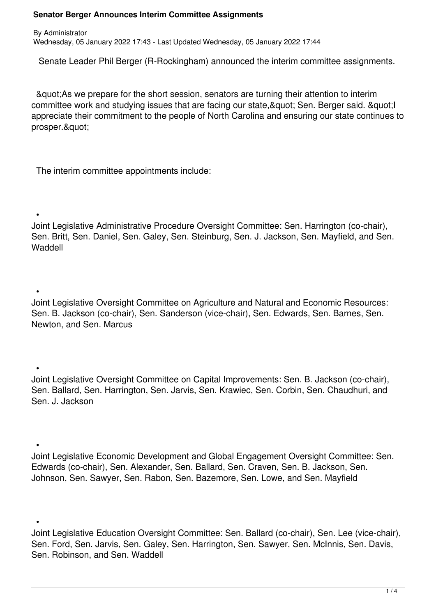By Administrator Wednesday, 05 January 2022 17:43 - Last Updated Wednesday, 05 January 2022 17:44

Senate Leader Phil Berger (R-Rockingham) announced the interim committee assignments.

 "As we prepare for the short session, senators are turning their attention to interim committee work and studying issues that are facing our state, & quot; Sen. Berger said. & quot; I appreciate their commitment to the people of North Carolina and ensuring our state continues to prosper.&quot:

The interim committee appointments include:

•

Joint Legislative Administrative Procedure Oversight Committee: Sen. Harrington (co-chair), Sen. Britt, Sen. Daniel, Sen. Galey, Sen. Steinburg, Sen. J. Jackson, Sen. Mayfield, and Sen. Waddell

 • Joint Legislative Oversight Committee on Agriculture and Natural and Economic Resources: Sen. B. Jackson (co-chair), Sen. Sanderson (vice-chair), Sen. Edwards, Sen. Barnes, Sen. Newton, and Sen. Marcus

 • Joint Legislative Oversight Committee on Capital Improvements: Sen. B. Jackson (co-chair), Sen. Ballard, Sen. Harrington, Sen. Jarvis, Sen. Krawiec, Sen. Corbin, Sen. Chaudhuri, and Sen. J. Jackson

 • Joint Legislative Economic Development and Global Engagement Oversight Committee: Sen. Edwards (co-chair), Sen. Alexander, Sen. Ballard, Sen. Craven, Sen. B. Jackson, Sen. Johnson, Sen. Sawyer, Sen. Rabon, Sen. Bazemore, Sen. Lowe, and Sen. Mayfield

 • Joint Legislative Education Oversight Committee: Sen. Ballard (co-chair), Sen. Lee (vice-chair), Sen. Ford, Sen. Jarvis, Sen. Galey, Sen. Harrington, Sen. Sawyer, Sen. McInnis, Sen. Davis, Sen. Robinson, and Sen. Waddell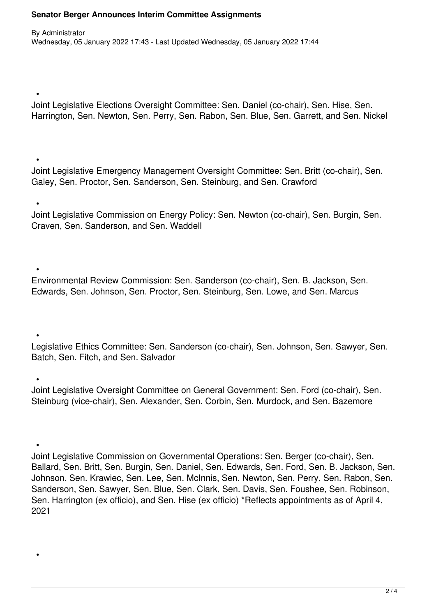•

•

•

 • Joint Legislative Elections Oversight Committee: Sen. Daniel (co-chair), Sen. Hise, Sen. Harrington, Sen. Newton, Sen. Perry, Sen. Rabon, Sen. Blue, Sen. Garrett, and Sen. Nickel

 • Joint Legislative Emergency Management Oversight Committee: Sen. Britt (co-chair), Sen. Galey, Sen. Proctor, Sen. Sanderson, Sen. Steinburg, and Sen. Crawford

Joint Legislative Commission on Energy Policy: Sen. Newton (co-chair), Sen. Burgin, Sen. Craven, Sen. Sanderson, and Sen. Waddell

 • Environmental Review Commission: Sen. Sanderson (co-chair), Sen. B. Jackson, Sen. Edwards, Sen. Johnson, Sen. Proctor, Sen. Steinburg, Sen. Lowe, and Sen. Marcus

Legislative Ethics Committee: Sen. Sanderson (co-chair), Sen. Johnson, Sen. Sawyer, Sen. Batch, Sen. Fitch, and Sen. Salvador

 • Joint Legislative Oversight Committee on General Government: Sen. Ford (co-chair), Sen. Steinburg (vice-chair), Sen. Alexander, Sen. Corbin, Sen. Murdock, and Sen. Bazemore

 • Joint Legislative Commission on Governmental Operations: Sen. Berger (co-chair), Sen. Ballard, Sen. Britt, Sen. Burgin, Sen. Daniel, Sen. Edwards, Sen. Ford, Sen. B. Jackson, Sen. Johnson, Sen. Krawiec, Sen. Lee, Sen. McInnis, Sen. Newton, Sen. Perry, Sen. Rabon, Sen. Sanderson, Sen. Sawyer, Sen. Blue, Sen. Clark, Sen. Davis, Sen. Foushee, Sen. Robinson, Sen. Harrington (ex officio), and Sen. Hise (ex officio) \*Reflects appointments as of April 4, 2021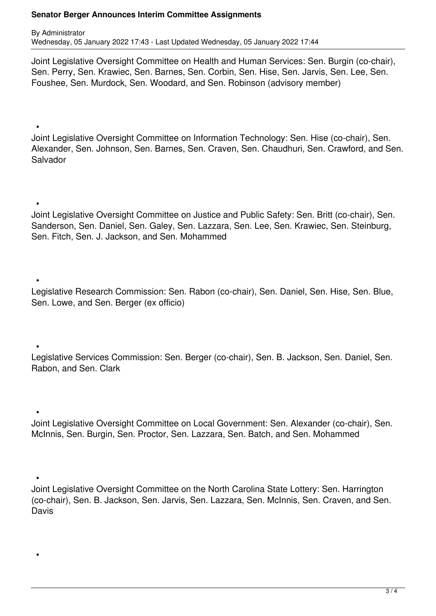•

•

By Administrator Wednesday, 05 January 2022 17:43 - Last Updated Wednesday, 05 January 2022 17:44

Joint Legislative Oversight Committee on Health and Human Services: Sen. Burgin (co-chair), Sen. Perry, Sen. Krawiec, Sen. Barnes, Sen. Corbin, Sen. Hise, Sen. Jarvis, Sen. Lee, Sen. Foushee, Sen. Murdock, Sen. Woodard, and Sen. Robinson (advisory member)

 • Joint Legislative Oversight Committee on Information Technology: Sen. Hise (co-chair), Sen. Alexander, Sen. Johnson, Sen. Barnes, Sen. Craven, Sen. Chaudhuri, Sen. Crawford, and Sen. Salvador

Joint Legislative Oversight Committee on Justice and Public Safety: Sen. Britt (co-chair), Sen. Sanderson, Sen. Daniel, Sen. Galey, Sen. Lazzara, Sen. Lee, Sen. Krawiec, Sen. Steinburg, Sen. Fitch, Sen. J. Jackson, and Sen. Mohammed

 • Legislative Research Commission: Sen. Rabon (co-chair), Sen. Daniel, Sen. Hise, Sen. Blue, Sen. Lowe, and Sen. Berger (ex officio)

 • Legislative Services Commission: Sen. Berger (co-chair), Sen. B. Jackson, Sen. Daniel, Sen. Rabon, and Sen. Clark

 • Joint Legislative Oversight Committee on Local Government: Sen. Alexander (co-chair), Sen. McInnis, Sen. Burgin, Sen. Proctor, Sen. Lazzara, Sen. Batch, and Sen. Mohammed

 • Joint Legislative Oversight Committee on the North Carolina State Lottery: Sen. Harrington (co-chair), Sen. B. Jackson, Sen. Jarvis, Sen. Lazzara, Sen. McInnis, Sen. Craven, and Sen. **Davis**